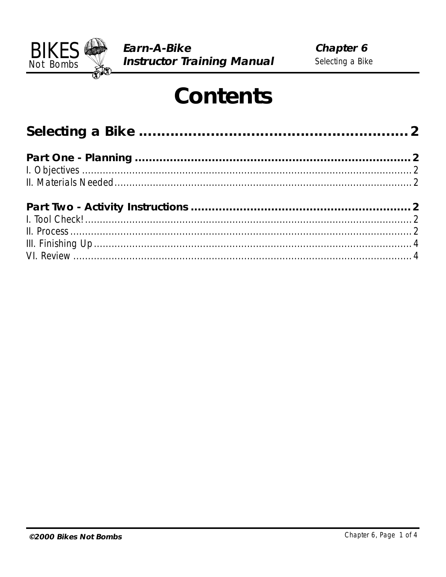

# **Contents**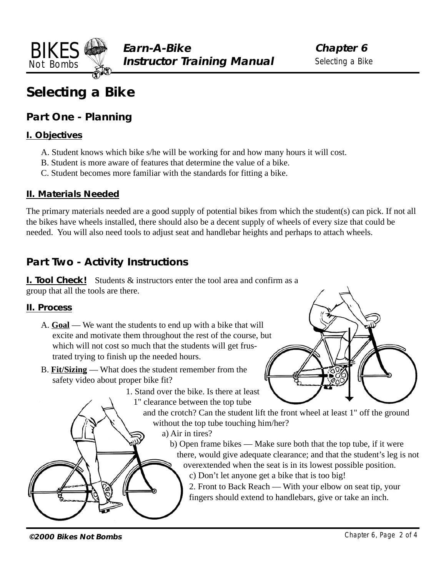<span id="page-1-0"></span>

# **Selecting a Bike**

### **Part One - Planning**

#### **I. Objectives**

- A. Student knows which bike s/he will be working for and how many hours it will cost.
- B. Student is more aware of features that determine the value of a bike.
- C. Student becomes more familiar with the standards for fitting a bike.

#### **II. Materials Needed**

The primary materials needed are a good supply of potential bikes from which the student(s) can pick. If not all the bikes have wheels installed, there should also be a decent supply of wheels of every size that could be needed. You will also need tools to adjust seat and handlebar heights and perhaps to attach wheels.

## **Part Two - Activity Instructions**

**I. Tool Check!** Students & instructors enter the tool area and confirm as a group that all the tools are there.

#### **II. Process**

- A. **Goal** We want the students to end up with a bike that will excite and motivate them throughout the rest of the course, but which will not cost so much that the students will get frustrated trying to finish up the needed hours.
- B. **Fit/Sizing** What does the student remember from the safety video about proper bike fit?
	- 1. Stand over the bike. Is there at least
		- 1" clearance between the top tube

and the crotch? Can the student lift the front wheel at least 1" off the ground without the top tube touching him/her?

a) Air in tires?

b) Open frame bikes — Make sure both that the top tube, if it were there, would give adequate clearance; and that the student's leg is not overextended when the seat is in its lowest possible position.

c) Don't let anyone get a bike that is too big!

2. Front to Back Reach — With your elbow on seat tip, your fingers should extend to handlebars, give or take an inch.

**©2000 Bikes Not Bombs** Chapter 6, Page 2 of 4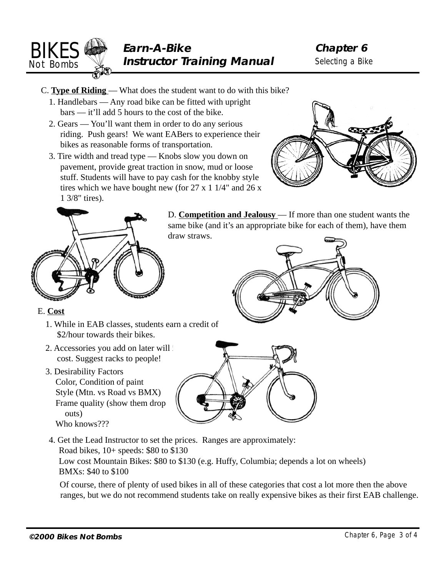

- C. **Type of Riding**  What does the student want to do with this bike?
	- 1. Handlebars Any road bike can be fitted with upright bars — it'll add 5 hours to the cost of the bike.
	- 2. Gears You'll want them in order to do any serious riding. Push gears! We want EABers to experience their bikes as reasonable forms of transportation.
	- 3. Tire width and tread type Knobs slow you down on pavement, provide great traction in snow, mud or loose stuff. Students will have to pay cash for the knobby style tires which we have bought new (for  $27 \times 11/4$ " and  $26 \times$ 1 3/8" tires).





D. **Competition and Jealousy** — If more than one student wants the same bike (and it's an appropriate bike for each of them), have them draw straws.



#### E. **Cost**

- 1. While in EAB classes, students earn a credit of \$2/hour towards their bikes.
- 2. Accessories you add on later will cost. Suggest racks to people!
- 3. Desirability Factors Color, Condition of paint Style (Mtn. vs Road vs BMX) Frame quality (show them drop outs) Who knows???



4. Get the Lead Instructor to set the prices. Ranges are approximately: Road bikes, 10+ speeds: \$80 to \$130 Low cost Mountain Bikes: \$80 to \$130 (e.g. Huffy, Columbia; depends a lot on wheels) BMXs: \$40 to \$100

 Of course, there of plenty of used bikes in all of these categories that cost a lot more then the above ranges, but we do not recommend students take on really expensive bikes as their first EAB challenge.